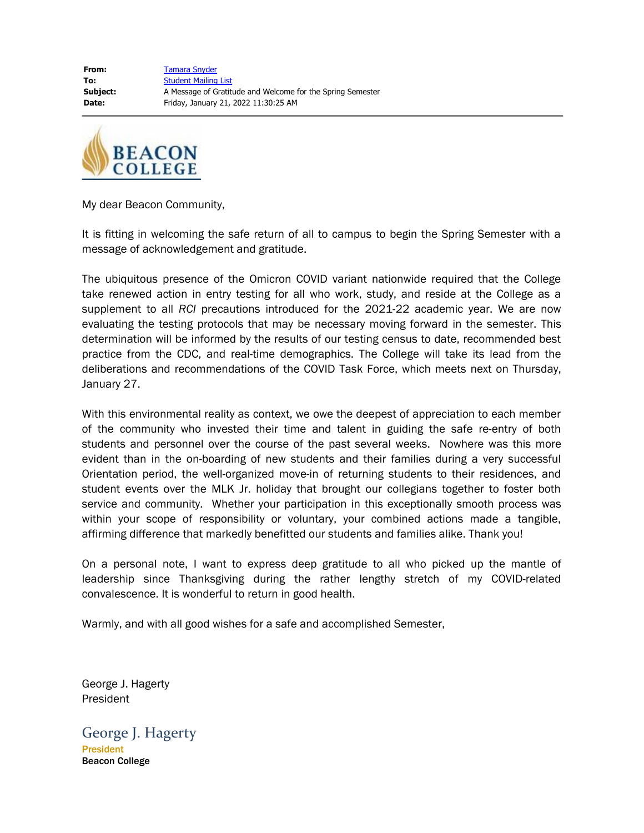**From:** [Tamara Snyder](mailto:tsnyder@beaconcollege.edu) **To:** [Student Mailing List](mailto:studentmailinglist@beaconcollege.edu) **Subject:** A Message of Gratitude and Welcome for the Spring Semester **Date:** Friday, January 21, 2022 11:30:25 AM



My dear Beacon Community,

It is fitting in welcoming the safe return of all to campus to begin the Spring Semester with a message of acknowledgement and gratitude.

The ubiquitous presence of the Omicron COVID variant nationwide required that the College take renewed action in entry testing for all who work, study, and reside at the College as a supplement to all *RCI* precautions introduced for the 2021-22 academic year. We are now evaluating the testing protocols that may be necessary moving forward in the semester. This determination will be informed by the results of our testing census to date, recommended best practice from the CDC, and real-time demographics. The College will take its lead from the deliberations and recommendations of the COVID Task Force, which meets next on Thursday, January 27.

With this environmental reality as context, we owe the deepest of appreciation to each member of the community who invested their time and talent in guiding the safe re-entry of both students and personnel over the course of the past several weeks. Nowhere was this more evident than in the on-boarding of new students and their families during a very successful Orientation period, the well-organized move-in of returning students to their residences, and student events over the MLK Jr. holiday that brought our collegians together to foster both service and community. Whether your participation in this exceptionally smooth process was within your scope of responsibility or voluntary, your combined actions made a tangible, affirming difference that markedly benefitted our students and families alike. Thank you!

On a personal note, I want to express deep gratitude to all who picked up the mantle of leadership since Thanksgiving during the rather lengthy stretch of my COVID-related convalescence. It is wonderful to return in good health.

Warmly, and with all good wishes for a safe and accomplished Semester,

George J. Hagerty President

George J. Hagerty **President** Beacon College